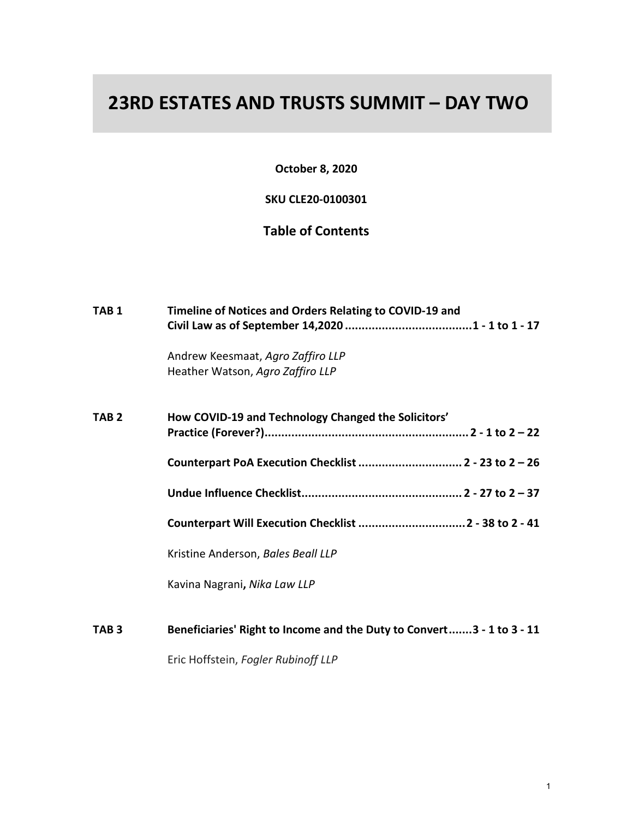## **23RD ESTATES AND TRUSTS SUMMIT – DAY TWO**

**October 8, 2020**

**SKU CLE20-0100301**

## **Table of Contents**

| TAB <sub>1</sub> | Timeline of Notices and Orders Relating to COVID-19 and               |
|------------------|-----------------------------------------------------------------------|
|                  | Andrew Keesmaat, Agro Zaffiro LLP<br>Heather Watson, Agro Zaffiro LLP |
| TAB <sub>2</sub> | How COVID-19 and Technology Changed the Solicitors'                   |
|                  | Counterpart PoA Execution Checklist  2 - 23 to 2 - 26                 |
|                  |                                                                       |
|                  | Counterpart Will Execution Checklist  2 - 38 to 2 - 41                |
|                  | Kristine Anderson, Bales Beall LLP                                    |
|                  | Kavina Nagrani, Nika Law LLP                                          |
| TAB <sub>3</sub> | Beneficiaries' Right to Income and the Duty to Convert3 - 1 to 3 - 11 |
|                  | Eric Hoffstein, Fogler Rubinoff LLP                                   |
|                  |                                                                       |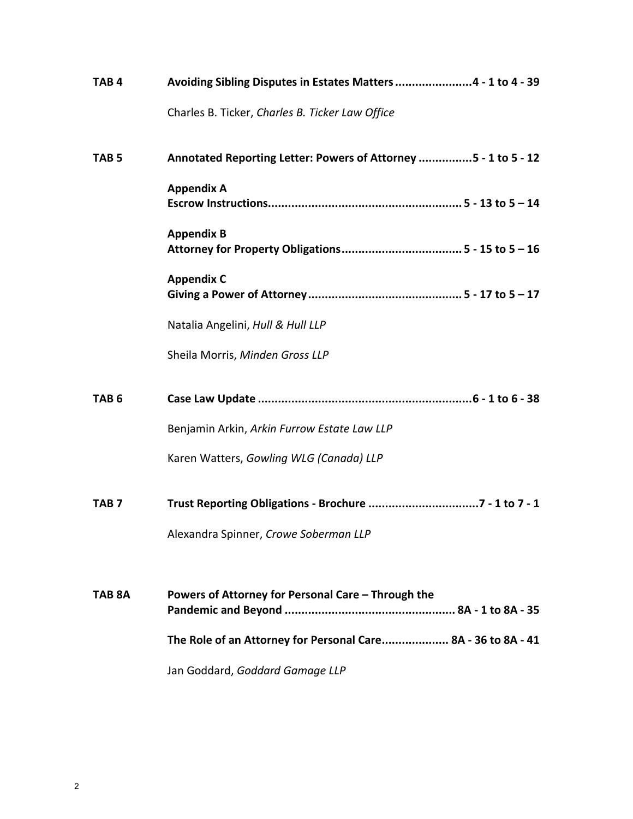| TAB <sub>4</sub> | Avoiding Sibling Disputes in Estates Matters 4 - 1 to 4 - 39   |
|------------------|----------------------------------------------------------------|
|                  | Charles B. Ticker, Charles B. Ticker Law Office                |
| TAB <sub>5</sub> | Annotated Reporting Letter: Powers of Attorney 5 - 1 to 5 - 12 |
|                  | <b>Appendix A</b>                                              |
|                  | <b>Appendix B</b>                                              |
|                  | <b>Appendix C</b>                                              |
|                  | Natalia Angelini, Hull & Hull LLP                              |
|                  | Sheila Morris, Minden Gross LLP                                |
| TAB <sub>6</sub> |                                                                |
|                  | Benjamin Arkin, Arkin Furrow Estate Law LLP                    |
|                  | Karen Watters, Gowling WLG (Canada) LLP                        |
| TAB <sub>7</sub> |                                                                |
|                  | Alexandra Spinner, Crowe Soberman LLP                          |
| TAB 8A           | Powers of Attorney for Personal Care - Through the             |
|                  |                                                                |
|                  | The Role of an Attorney for Personal Care 8A - 36 to 8A - 41   |
|                  | Jan Goddard, Goddard Gamage LLP                                |